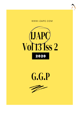





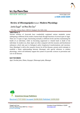

# **Int J Ayu Pharm Chem**

REVIEW ARTICLE www.ijapc.com

**e-ISSN 2350-0204**

# **Review of** *Bhootagnipaka* **w.s.r. Modern Physiology**

Jeetika Duggal<sup>i\*</sup> and Manu Bhai Gaur<sup>2</sup>

1,2PG Dept. of Kriya Sharir, CBPACS, Najafgarh, New Delhi, India

# **ABSTRACT**

Ancient scholars of Ayurveda have wonderfully explained various metabolic events undergoing at different levels inside a human body through functions of several types of Agni. There are 13 types of Agni, functioning normally at different levels and thus maintaining the health of an individual, while on becoming suppressed or vitiated leads to death of the individual. In modern era, these *Agnis* are often compared with the enzymes and biochemical substances which take part in biological and/or biophysical transformations and reactions. Since *Mandagni* is told as the causative factors for all the diseases, present article attempts to establish a better understanding between *bhootagni* with special reference to modern physiology, which will definitely support the system of ayurvedic sciences in prevention and cure of all diseases.

# **KEYWORDS**

*Agni, Pachak pitta*, *Dhatu, Kayagni, Dhatwagni paka*, *Bhutagni*



Received 27/07/2020 Accepted 26/08/2020 Published 10/09/2020

 $\overline{\phantom{a}}$  , and the contribution of the contribution of the contribution of the contribution of the contribution of the contribution of the contribution of the contribution of the contribution of the contribution of the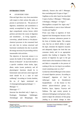# **INTRODUCTION**

# AYURVEDIC VIEW

*Pitta* and *Agni* show very close association with respect to their actions like *paka, or pacana or parinaman* etc. The process of digestion, metabolism and assimilation is mainly accomplished by *Agni.* The term *Agni* comprehends various factors which perform and direct the course of digestion and metabolism , in living organism , converting *pakadi karmas* or bio-physiochemical processes in the consumed food not only into its various structural and functional constituents but also to provide the energy necessary for proceeding with its innumerable vital activities .

The objective of *Ayurveda* science is to sustain the health of the healthy and cure disease of diseased <sup>1</sup> . In *Ayurveda* health is a specific condition where *dosha*, *Agni*, *dhatu*, *malas* (waste products), and all physiological functions should be in homeostatic state and soul, sense organ and mind should be in a state of total wellbeing<sup>2</sup>. According to *Caraka Samhita*, the no. of Agnis mentioned are 13.Antaragni/jatharagni/pachakagni  $= 1$ Bhutagni  $= 5$ 

Dhatwagni  $=7.3$ 

*Susuruta* has described only 5 Agnis i.e., Pacakagni, Ranjakagni, Sadhakagni, Alochakagni and Bhrajakagni. But

 $\mathcal{L}_\mathcal{L}$  , and the contribution of the contribution of the contribution of the contribution of the contribution of the contribution of the contribution of the contribution of the contribution of the contribution of

indirectly, Susurut also told 5 Bhutagni, thus concluding total 10 types of Agni. <sup>4</sup> *Vagbhata on the other hand*, has described 5 types of pittas, 5 Bhutagni, 7 Dhatwagni,  $3$  Doshagni,  $3$  Malagni = 23 Agnis.<sup>5</sup> *Sharangdhara* accepted five Agnis only <sup>6</sup> and Bhavamishra is seen to have followed *Caraka and Vagbhat <sup>7</sup>*

*Prana vayu* helps in ingestion of food. Ingested food disintegrates because of the liquids or unctuous substances present in the form of *kledaka kapha*. The *samana vata*, that has an inbuilt ability to ignite the *Agni*, stimulate the digestive enzymes and adequately digests the food that one consumes timely and in an appropriate quantity thus leading to longevity. This process of digestion by *agni* in the gut which leads to the formation of *Ahara rasa* and *Mala* is comparable to the process of cooking of the raw rice kept in an earthern vessel containing water on a fire.<sup>8</sup>

*Caraka* has referred *Bhutagni* in the context of normal digestive process. According to Cakrapani<sup>9</sup>. , digestion of food by *Jatharagni* leads to [breakdown] *Sanghatbheda* – of the former in five distinct physio-chemical groups i.e., Parthiva, Apya, Agneya, Vayavya and Nabhasa. The agni moiety present in substances belonging to each group is, then, stated to digest the substance of that group ,leading to [a radical change in their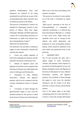qualities] *Vilakshanguna*. Thus, food substances are rendered fit for being assimilated into and built up as parts of the corresponding bhuta [basis element] class of substances present in the Dhatus.

This process of assimilation is stated to be mediated by *Dhatwagnis*, present in each species of *Dhatus*. These three Agnis (Jatharagni, Bhutagni and Dhatwagni) play a major role in maintaining consistency of homeostasis so called every disease born due to disequilibrium of *Agni*. 10

### PROCESS OF DIGESTION

The alimentary tract provides a continuous supply of water, electrolytes, vitamins and nutrients that requires:

 *Prana vata* enables ingestion of food to the esophagus and *Samana vata* the peristaltic movement in alimentary tract.

 Release of digestive juices and digestion of food that can be compared with the karma of *Samana vayu* which ignites the action of *Jathragni* and *Pachak pitta.* 

 Absorption of water, different electrolytes, vitamins and digestive products which can be compared with the *vivechan* [breakdown] karma of *Samana vata.* 

• Circulation of blood through the gastrointestinal organs to carry away the absorbed substances, this process is aided by the action of *Vyana vayu* which takes the

 $\mathcal{L}_\mathcal{L}$  , and the contribution of the contribution of the contribution of the contribution of the contribution of the contribution of the contribution of the contribution of the contribution of the contribution of

*Ahara rasa* to the heart and leading to the systemic circulation.

The process of excretion of waste product out of the body is facilitated by *Apana Vayu.*

'*Agni-vyapara'* operating at the level of *Pancamahabhutas* is comparable to molecular metabolism, it is believed that hypo functioning of *Bhutagni* i.e., working at finer tissue level, might results into metabolic errors such as concept of free radicals and allied phenomena and production of such incompatible products *(aama*), which should be identified at the most subtle and paranormal levels of life processes.

# MODERN VIEW:

The GI tract provides the body with a regular supply of water, electrolytes, vitamins, and nutrients, which requires (1) movement of food through the GI tract; (2) Release of digestive juices and digestion of the food; (3) Absorption of water, different electrolytes, vitamins, and digestive products; (4) circulation of blood through the organs to carry away the absorbed substances; and (5) control of all these functions via local, nervous, and hormonal systems.

Liver is the largest organ in the body, contributing about 2% of the total body wt. or about 1.5 kg in the average adult human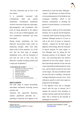

.The basic functional unit of liver is the liver lobule.

It is essentially concerned with Carbohydrate, lipid and protein metabolism. Carbohydrate metabolism involves conversion of glucose to glycogen, gluconeogenesis, and resynthesize fatty acids for being deposited in the adipose tissue. As the part of Dhatwagnipaka, also liver resynthesize cholesterol and esters from lipids.

During protein metabolism, the liver fabricates non-essential amino acids, by employing nitrogen, either from other amino acids or from ammonia .It is in the liver that the final steps of nitrogen metabolism occur, with the formation of urea and uric acid in man. Liver also fabricates a number of plasma proteins and a major part of globulins.<sup>11</sup>

#### **FUNCTIONS OF LIVER <sup>12</sup>**

- 1. Functions as a reservoir of blood
- 2. Blood cleansing function
- 3. Metabolic functions
- 4. Secretion of bile
- 5. Storage functions
- 6. Role in blood coagulation **7.** Catabolic and excretory functions
- 

# **DISCUSSION**

The wide range of natural intracellular antioxidant mechanism involving several enzymes and

chemicals like superoxide dismutase, catalase, glutathione peroxides etc. , operating at molecular level appears to be

 $\mathcal{L}_\mathcal{L}$  , and the contribution of the contribution of the contribution of the contribution of the contribution of the contribution of the contribution of the contribution of the contribution of the contribution of

understood in Ayurveda under 'Bhutagni – vyapara' , the deficiency of which will lead to increased generation of free Radicals and consequent morbidity, which is the foremost consideration in deciding the genesis of various diseases , as conceived in Ayurveda $13$ 

Human body is made up of five primordial elements .For its growth and development, it naturally needs nutrition having all those elements. Bhutagni present in GI tract as well as the level of tissues in respective channels , required for the third stage of digestion which brings about the formation of special nutrients for sense organs i.e, Five Bhutagni exist for taking the five elemental portions of the digested food mass and converting them into nutritive substances for five sense organs . Some of these specialized materials are the rods and cones responsible for photosensitivity in the eyes, special liquids around the taste buds on the tongue , the mucus membrane inside the nose that aids in smelling , and special cartilage forming the structure of ear . Such substances specific to each sense organ are prepared by the bhutagnis.

# The digestion occur due to bhutagni doesn't alter the type of element, but it changes the structure from nirindriya to sendriya and thus makes the food useful for body .This is formed by the principle of pakajotpati in ayurveda <sup>14</sup>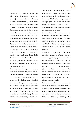

Dravyas[Any Substance or matter] are either tulya (homologous ,similar or identical) or vishishta (non-homologous , dissimilar or non-identical ) , which cause an increase or decrease of the dhatus due to properties potentially inherited by them .Homologous properties of dravya cause sufficient and rapid increase of an identical or homologous properties in the dhatus  $^{15}$ .

Vagbhata has posited the view that nutrient substances derived from outside the body should be tulya or homologous to the dhatus. tulya or samanya, as in ,dravya samanya , guna samanya or karma samanya .Either of this samanya will promote the growth of dhatu i.e, leads to Dhatuvriddhi .Acc to Caraka , the sharira dhatus are caused to grow by the repeated use of substances possessing predominantly , homologous properties .

Caraka has referred bhutagni in the context of the process of normal digestive events . the digestion of food by jatharagni leads to the breakdown – sanghatbheda –of the former into five distinct physio-chemical groups i.e, parthiva ,apya, agenya , vayavya and nabhasa . The agni moiety present in substances belonging to each group , is then stated to digest the substances of that group ,, leading to a radical change in their qualities – vilakshanaguna (Cakrapani).<sup>16</sup>

Rasadi are the seven *sthayi dhatus* (formed dhatus already present in the body) and *poshya dhatus* (the sharira dhatus which are to be nourished ).the end products of *bhutagni paka* are known as *poshaka dravyas* i.e, parthivadi poshaka dravyas . Dhatawagnipaka is stated to metabolise the products of *bhutagnipaka* . 17

Even so, it seems that *dhatwagnipaka* is considered to take place for the most part in liver same as *bhutagnipaka* .The final synthesis metabolism of *asthayi* (to be nourished ) dhatus into *sthayi dhatus*, obviously take place in the dhatus themselves  $18$ 

According to Ayurveda , the gunas potentially present in *aharadravyas* are activated by *jatharagnipaka* and actualized by *bhutagnipaka* in the final stage of digestive process, in the adho - amashaya – pittashaya or pachyamanashaya (Cakrapani) before aharadravyas being utilized in dhatupaka .In Caraka opinion, all these events including the absorption (soshana) of the sarabhaga (chyle) takes place in amashaya itself .

Cakrapani characterize the outcome of *bhootagnipaka* as *vilakshan gunas*, that can apply only to a complete change-over of the qualities of aharadravyyas ingested which do not take place in the *adho amashaya*. Such a change , involving the

 $\mathcal{L}_\mathcal{L}$  , and the contribution of the contribution of the contribution of the contribution of the contribution of the contribution of the contribution of the contribution of the contribution of the contribution of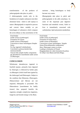

transformation of the products of *jatharagnipaka* take place in *yakrit* .

# *Jatharagnipaka* results only in the breakdown of complex substances into their elemental forms which is still *vijatiya* in nature. *Bhutagnipaka* is required to process and convert them suitably as pre homologues of substances which compose the seven *dhatus* so that assimilation of the

nutrients , being homologous to body become very easier.

*Bhutagnipaka* take place in *yakrit* and *jatharagnipaka* in the *adho amashaya*. As some of the important post digestive functions and metabolic events, *Yakrit* or liver is immediately concerned with carbohydrate, lipid and protein metabolism.

| Food Intake                               | Food Intake                                       |
|-------------------------------------------|---------------------------------------------------|
| [under action of <i>jatharagni</i> ]      | [under action of <i>jatharagni</i> ]              |
| <b>Formation Of Chyme</b>                 | Formation Of Ahara Rasa                           |
| [under action of <i>bhootagni</i> ]       | [under action of <i>bhootagni</i> ]               |
| Conversion to basic homologous Simpler    | Conversion to basic homologous Simpler            |
| forms.                                    | forms.[Pancabhaoutika components]                 |
| For Eg, ingested Carbohydrates            | Here, <i>Dhatwagni</i> comes to action,           |
| Converted to polysaccharide then          | Leading to formation of Prasad                    |
| monosaccharide.                           | bhaga(poshaka for <i>rakta</i> formation & poshya |
| Glucose like simpler bodily components    | for <i>sthayi rasa</i> dhatu) and kitta bhaga.    |
| get absorbed for nourishment under action |                                                   |
| of <i>Dhatwagni</i> .                     |                                                   |

 $\mathcal{L}_\mathcal{L}$  , and the contribution of the contribution of the contribution of the contribution of the contribution of the contribution of the contribution of the contribution of the contribution of the contribution of

# **CONCLUSION**

Wholesome aharadravyas ingested in fourfold manner, primarily been digested by *Antaragni*, is followed by further paka via *Bhutagnis* [which itself been ignited by the *Jatharagni]* and *Dhatwagnis*. Subject to the condition that *Dhatusma, Dhatwagnis, Dhatusrotmasi* and *Maruta* are not impaired, *Dhatupaka* is proceeded .The *Dhatwaharas* [nourishment for bodily tissues] thus prepared benefits the organism, strength, complexion, happiness, longevity and furnish energy to the *dhatu.*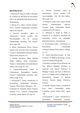

# **REFERENCES**

1. Moharana P, Dabar K, Delhi N, Roushan R. A CRITICAL REVIEW OF PACHAKA PITTA IN MODERN PHYSIOLOGICAL. 2019;(March).

2. Sharma P.V.; editor; Charaka Samhita, Vol-1, Varanasi Chaukhambha Orientalia, reprint 2011,Pg-240

3. Dwivedi laxmidhar, editor & commentator, Charak samhita with Ayurvedadipika , Part III, Varanasi Chaukhambha Orientalia, First Edition, 2013, page -524.

4. Shastri Ambikadutta, Editor, Susurut samhita with Ayurveda Tattva Sandeepika, Varanasi Chaukhambha Orientalia, Reprint Edition-2016, Page No-115.

5. Tripathi. Ravidutta, Editor Ashtang Hridya Samhita, Hindi commentary, Varanasi Chaukhambha Orientalia,Reprint Edition, 2014, Page No- 183.

6. Tripathi.Brahmanand, Editor & Commentator, Sharangdhara Samhita, Varanasi Chaukhambha Orientalia, 2013 Edition, Page no-39.

7. Dwarkanath.C, Editor, Introduction to kayachikitsa, Chaukambha Orientalia, Varanasi, Third edition 1996,pg-no : 193.

8. Murthy K.R. Srikantha, Editor; Sushruta Samhita, Vol-1, Varanasi, Chaukhambha Orientalia, reprint edition 2017,Pg-110

9. Dwivedi laxmidhar, editor & commentator, Charak samhita with Ayurvedadipika , Part III, First Edition, 2013, page -515.

10. Pandey K, chaturvedi G, editor, Charak samhita. Ashtauninditiya adhyaya, Varanasi, India: Chaukambha Bharati academy;2015:587, Reprint

11. Moharana P, Dabar K, Delhi N, Roushan R. A CRITICAL REVIEW OF PACHAKA PITTA IN MODERN PHYSIOLOGICAL. 2019;(March).

12. Dwarkanath.C,editor , Introduction to kayachikitsa ,Chaukambha orientalia,Varanasi,Third edition 1996,pgno : 211

13. Hall.E.John.Editor,Guyton & Hall Textbook Of Medical Physiology ,second south asia edition,2016,pg 440.

14.Possible Correlates of Free Radicals and Free Radical Mediated Disorders in Ayurveda with Special Reference to Bhutagni Vyapara and Ama at Molecular Level J.S. Tripathi and R. H.Singh Dept. of Kayachikitsa, Institute of Medical Sciences, Banaras Hindu University, Varanasi.

15. Ranade subhash, Editor, a textbook of kriya sharir, Chaukambha sankrit pratishthan ,reprint edition 2018 , pg-no :190

16 Dwarkanath .C., Editor , Introduction to kayachikitsa, Chaukambha orientalia,

 $\mathcal{L}_\mathcal{L}$  , and the contribution of the contribution of the contribution of the contribution of the contribution of the contribution of the contribution of the contribution of the contribution of the contribution of